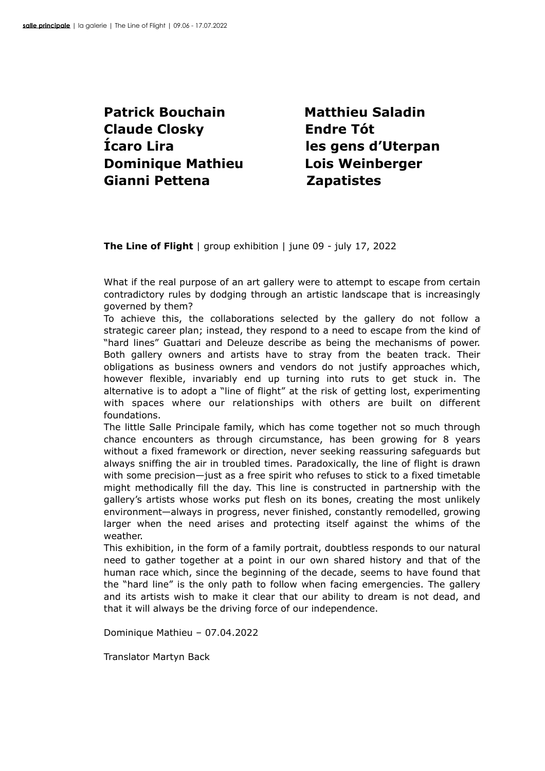**Patrick Bouchain** Matthieu Saladin **Claude Closky Endre Tót Ícaro Lira les gens d'Uterpan Dominique Mathieu Lois Weinberger Gianni Pettena Zapatistes**

**The Line of Flight** | group exhibition | june 09 - july 17, 2022

What if the real purpose of an art gallery were to attempt to escape from certain contradictory rules by dodging through an artistic landscape that is increasingly governed by them?

To achieve this, the collaborations selected by the gallery do not follow a strategic career plan; instead, they respond to a need to escape from the kind of "hard lines" Guattari and Deleuze describe as being the mechanisms of power. Both gallery owners and artists have to stray from the beaten track. Their obligations as business owners and vendors do not justify approaches which, however flexible, invariably end up turning into ruts to get stuck in. The alternative is to adopt a "line of flight" at the risk of getting lost, experimenting with spaces where our relationships with others are built on different foundations.

The little Salle Principale family, which has come together not so much through chance encounters as through circumstance, has been growing for 8 years without a fixed framework or direction, never seeking reassuring safeguards but always sniffing the air in troubled times. Paradoxically, the line of flight is drawn with some precision—just as a free spirit who refuses to stick to a fixed timetable might methodically fill the day. This line is constructed in partnership with the gallery's artists whose works put flesh on its bones, creating the most unlikely environment—always in progress, never finished, constantly remodelled, growing larger when the need arises and protecting itself against the whims of the weather.

This exhibition, in the form of a family portrait, doubtless responds to our natural need to gather together at a point in our own shared history and that of the human race which, since the beginning of the decade, seems to have found that the "hard line" is the only path to follow when facing emergencies. The gallery and its artists wish to make it clear that our ability to dream is not dead, and that it will always be the driving force of our independence.

Dominique Mathieu – 07.04.2022

Translator Martyn Back